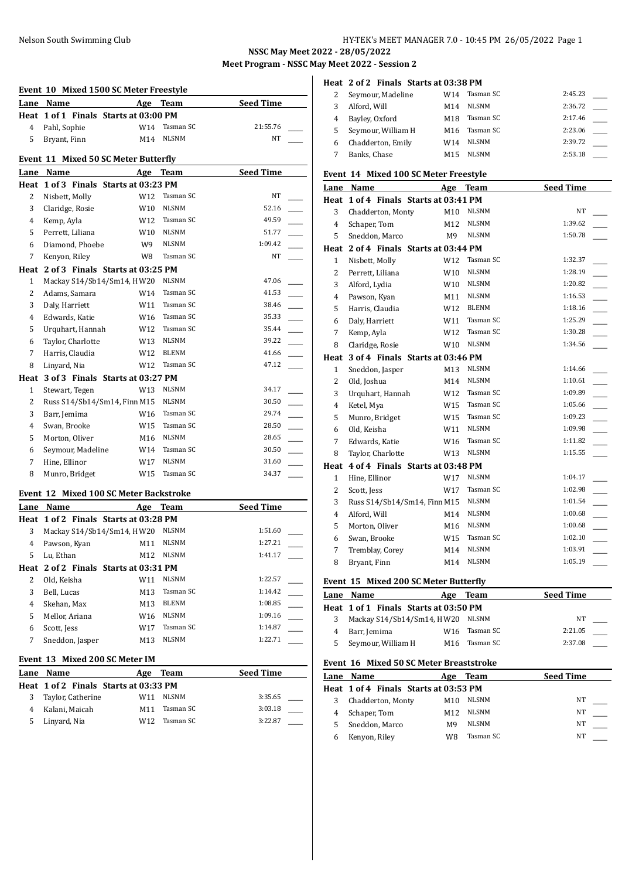#### Nelson South Swimming Club HY-TEK's MEET MANAGER 7.0 - 10:45 PM 26/05/2022 Page 1

**NSSC May Meet 2022 - 28/05/2022**

**Meet Program - NSSC May Meet 2022 - Session 2**

# **Event 10 Mixed 1500 SC Meter Freestyle Lane Name Age Team Seed Time Heat 1 of 1 Finals Starts at 03:00 PM** 4 Pahl, Sophie W14 Tasman SC 21:55.76 5 Bryant, Finn M14 NLSNM NT **Event 11 Mixed 50 SC Meter Butterfly Lane Name Age Team Seed Time Heat 1 of 3 Finals Starts at 03:23 PM** 2 Nisbett, Molly W12 Tasman SC NT 3 Claridge, Rosie W10 NLSNM 52.16 4 Kemp, Ayla W12 Tasman SC 49.59 5 Perrett, Liliana W10 NLSNM 51.77 6 Diamond, Phoebe W9 NLSNM 1:09.42 7 Kenyon, Riley W8 Tasman SC NT **Heat 2 of 3 Finals Starts at 03:25 PM** 1 Mackay S14/Sb14/Sm14, HW20 NLSNM 47.06 2 Adams, Samara W14 Tasman SC 41.53 3 Daly, Harriett W11 Tasman SC 38.46 4 Edwards, Katie 1986 W16 Tasman SC 35.33 5 Urquhart, Hannah W12 Tasman SC 35.44 6 Taylor, Charlotte W13 NLSNM 39.22 7 Harris, Claudia W12 BLENM 41.66 8 Linyard, Nia  $W12$  Tasman SC 47.12 **Heat 3 of 3 Finals Starts at 03:27 PM** 1 Stewart, Tegen W13 NLSNM 34.17 2 Russ S14/Sb14/Sm14, Finn M15 NLSNM 30.50 3 Barr, Jemima W16 Tasman SC 29.74 4 Swan, Brooke W15 Tasman SC 28.50 5 Morton, Oliver M16 NLSNM 28.65 6 Seymour, Madeline W14 Tasman SC 30.50 7 Hine, Ellinor W17 NLSNM 31.60 8 Munro, Bridget W15 Tasman SC 34.37 **Event 12 Mixed 100 SC Meter Backstroke Lane Name Age Team Seed Time Heat 1 of 2 Finals Starts at 03:28 PM** 3 Mackay S14/Sb14/Sm14, HW20 NLSNM 1:51.60 4 Pawson, Kyan M11 NLSNM 1:27.21 5 Lu, Ethan M12 NLSNM 1:41.17 **Heat 2 of 2 Finals Starts at 03:31 PM** 2 Old, Keisha W11 NLSNM 1:22.57 3 Bell, Lucas M13 Tasman SC 1:14.42 4 Skehan, Max M13 BLENM 1:08.85 5 Mellor, Ariana W16 NLSNM 1:09.16 6 Scott, Jess W17 Tasman SC 1:14.87

#### **Event 13 Mixed 200 SC Meter IM**

|   | Lane Name                             | Age | Team      | <b>Seed Time</b> |
|---|---------------------------------------|-----|-----------|------------------|
|   | Heat 1 of 2 Finals Starts at 03:33 PM |     |           |                  |
| 3 | Taylor, Catherine                     | W11 | NLSNM     | 3:35.65          |
| 4 | Kalani, Maicah                        | M11 | Tasman SC | 3:03.18          |
| 5 | Linyard, Nia                          | W12 | Tasman SC | 3:22.87          |

7 Sneddon, Jasper M13 NLSNM 1:22.71

#### **Heat 2 of 2 Finals Starts at 03:38 PM**

|   | Seymour, Madeline  | W14             | Tasman SC    | 2:45.23 |  |
|---|--------------------|-----------------|--------------|---------|--|
|   | Alford, Will       | M14             | <b>NLSNM</b> | 2:36.72 |  |
| 4 | Bayley, Oxford     | M18             | Tasman SC    | 2:17.46 |  |
| 5 | Seymour, William H | M <sub>16</sub> | Tasman SC    | 2:23.06 |  |
| 6 | Chadderton, Emily  | W14             | <b>NLSNM</b> | 2:39.72 |  |
|   | Banks, Chase       | M15             | <b>NLSNM</b> | 2:53.18 |  |

#### **Event 14 Mixed 100 SC Meter Freestyle**

|                | Lane Name                             | Age  | <b>Team</b>  | <b>Seed Time</b> |
|----------------|---------------------------------------|------|--------------|------------------|
|                | Heat 1 of 4 Finals Starts at 03:41 PM |      |              |                  |
| 3              | Chadderton, Monty                     | M10  | <b>NLSNM</b> | NT               |
| $\overline{4}$ | Schaper, Tom                          | M12  | <b>NLSNM</b> | 1:39.62          |
| 5              | Sneddon, Marco                        | M9 - | <b>NLSNM</b> | 1:50.78          |
|                | Heat 2 of 4 Finals Starts at 03:44 PM |      |              |                  |
| 1              | Nisbett, Molly                        | W12  | Tasman SC    | 1:32.37          |
| $\overline{2}$ | Perrett, Liliana                      | W10  | <b>NLSNM</b> | 1:28.19          |
| 3              | Alford, Lydia                         | W10  | NLSNM        | 1:20.82          |
| $\overline{4}$ | Pawson, Kyan                          | M11  | <b>NLSNM</b> | 1:16.53          |
| 5              | Harris, Claudia                       | W12  | <b>BLENM</b> | 1:18.16          |
| 6              | Daly, Harriett                        | W11  | Tasman SC    | 1:25.29          |
| 7              | Kemp, Ayla                            | W12  | Tasman SC    | 1:30.28          |
| 8              | Claridge, Rosie                       | W10  | <b>NLSNM</b> | 1:34.56          |
|                | Heat 3 of 4 Finals Starts at 03:46 PM |      |              |                  |
| $\mathbf{1}$   | Sneddon, Jasper                       | M13  | <b>NLSNM</b> | 1:14.66          |
| $\overline{2}$ | Old, Joshua                           | M14  | <b>NLSNM</b> | 1:10.61          |
| 3              | Urquhart, Hannah                      | W12  | Tasman SC    | 1:09.89          |
| 4              | Ketel, Mya                            | W15  | Tasman SC    | 1:05.66          |
| 5              | Munro, Bridget                        | W15  | Tasman SC    | 1:09.23          |
| 6              | Old, Keisha                           | W11  | <b>NLSNM</b> | 1:09.98          |
| 7              | Edwards, Katie                        | W16  | Tasman SC    | 1:11.82          |
| 8              | Taylor, Charlotte                     | W13  | <b>NLSNM</b> | 1:15.55          |
| Heat           | 4 of 4 Finals Starts at 03:48 PM      |      |              |                  |
| $\mathbf{1}$   | Hine, Ellinor                         | W17  | <b>NLSNM</b> | 1:04.17          |
| 2              | Scott, Jess                           | W17  | Tasman SC    | 1:02.98          |
| 3              | Russ S14/Sb14/Sm14, Finn M15          |      | <b>NLSNM</b> | 1:01.54          |
| $\overline{4}$ | Alford, Will                          | M14  | <b>NLSNM</b> | 1:00.68          |
| 5              | Morton, Oliver                        | M16  | <b>NLSNM</b> | 1:00.68          |
| 6              | Swan, Brooke                          | W15  | Tasman SC    | 1:02.10          |
| 7              | Tremblay, Corey                       | M14  | <b>NLSNM</b> | 1:03.91          |
| 8              | Bryant, Finn                          | M14  | <b>NLSNM</b> | 1:05.19          |

### **Event 15 Mixed 200 SC Meter Butterfly**

|   | Lane Name                             | Age | Team      | <b>Seed Time</b> |  |
|---|---------------------------------------|-----|-----------|------------------|--|
|   | Heat 1 of 1 Finals Starts at 03:50 PM |     |           |                  |  |
|   | Mackay S14/Sb14/Sm14, HW20 NLSNM      |     |           | NT               |  |
|   | Barr, Jemima                          | W16 | Tasman SC | 2:21.05          |  |
| 5 | Seymour, William H                    | M16 | Tasman SC | 2:37.08          |  |

#### **Event 16 Mixed 50 SC Meter Breaststroke**

| Lane | Name                                  | Age             | Team         | <b>Seed Time</b> |  |
|------|---------------------------------------|-----------------|--------------|------------------|--|
|      | Heat 1 of 4 Finals Starts at 03:53 PM |                 |              |                  |  |
|      | Chadderton, Monty                     | M10             | <b>NLSNM</b> | NΤ               |  |
|      | Schaper, Tom                          | M <sub>12</sub> | <b>NLSNM</b> | NΤ               |  |
|      | Sneddon, Marco                        | M9              | <b>NLSNM</b> | NΤ               |  |
|      | Kenyon, Riley                         | W8              | Tasman SC    | NT               |  |
|      |                                       |                 |              |                  |  |